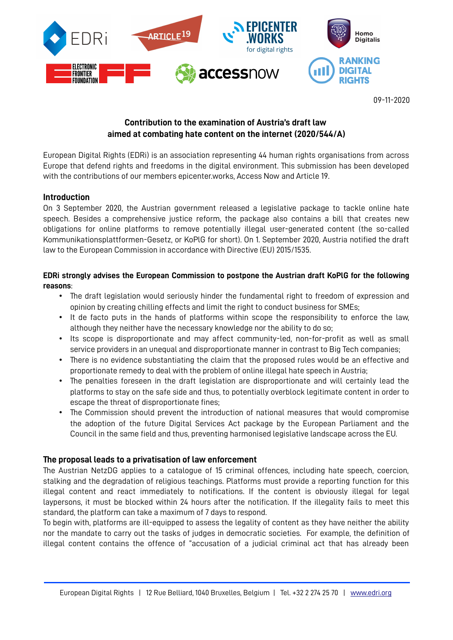

09-11-2020

# **Contribution to the examination of Austria's draft law aimed at combating hate content on the internet (2020/544/A)**

European Digital Rights (EDRi) is an association representing 44 human rights organisations from across Europe that defend rights and freedoms in the digital environment. This submission has been developed with the contributions of our members epicenter.works, Access Now and Article 19.

### **Introduction**

On 3 September 2020, the Austrian government released a legislative package to tackle online hate speech. Besides a comprehensive justice reform, the package also contains a bill that creates new obligations for online platforms to remove potentially illegal user-generated content (the so-called Kommunikationsplattformen-Gesetz, or KoPlG for short). On 1. September 2020, Austria notified the draft law to the European Commission in accordance with Directive (EU) 2015/1535.

### **EDRi strongly advises the European Commission to postpone the Austrian draft KoPlG for the following reasons**:

- The draft legislation would seriously hinder the fundamental right to freedom of expression and opinion by creating chilling effects and limit the right to conduct business for SMEs;
- It de facto puts in the hands of platforms within scope the responsibility to enforce the law, although they neither have the necessary knowledge nor the ability to do so;
- Its scope is disproportionate and may affect community-led, non-for-profit as well as small service providers in an unequal and disproportionate manner in contrast to Big Tech companies;
- There is no evidence substantiating the claim that the proposed rules would be an effective and proportionate remedy to deal with the problem of online illegal hate speech in Austria;
- The penalties foreseen in the draft legislation are disproportionate and will certainly lead the platforms to stay on the safe side and thus, to potentially overblock legitimate content in order to escape the threat of disproportionate fines;
- The Commission should prevent the introduction of national measures that would compromise the adoption of the future Digital Services Act package by the European Parliament and the Council in the same field and thus, preventing harmonised legislative landscape across the EU.

## **The proposal leads to a privatisation of law enforcement**

The Austrian NetzDG applies to a catalogue of 15 criminal offences, including hate speech, coercion, stalking and the degradation of religious teachings. Platforms must provide a reporting function for this illegal content and react immediately to notifications. If the content is obviously illegal for legal laypersons, it must be blocked within 24 hours after the notification. If the illegality fails to meet this standard, the platform can take a maximum of 7 days to respond.

To begin with, platforms are ill-equipped to assess the legality of content as they have neither the ability nor the mandate to carry out the tasks of judges in democratic societies. For example, the definition of illegal content contains the offence of "accusation of a judicial criminal act that has already been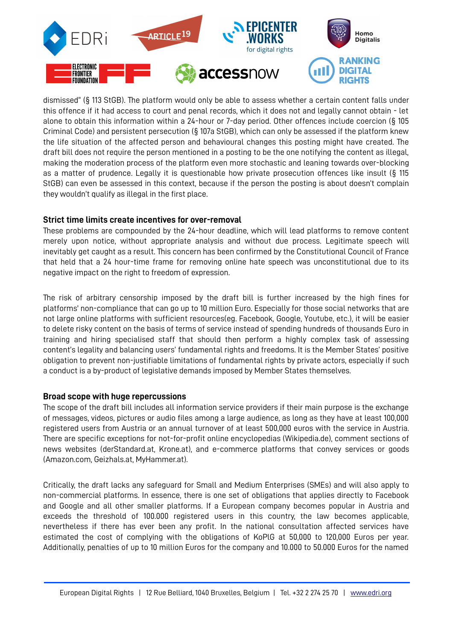

dismissed" (§ 113 StGB). The platform would only be able to assess whether a certain content falls under this offence if it had access to court and penal records, which it does not and legally cannot obtain - let alone to obtain this information within a 24-hour or 7-day period. Other offences include coercion (§ 105 Criminal Code) and persistent persecution (§ 107a StGB), which can only be assessed if the platform knew the life situation of the affected person and behavioural changes this posting might have created. The draft bill does not require the person mentioned in a posting to be the one notifying the content as illegal, making the moderation process of the platform even more stochastic and leaning towards over-blocking as a matter of prudence. Legally it is questionable how private prosecution offences like insult (§ 115 StGB) can even be assessed in this context, because if the person the posting is about doesn't complain they wouldn't qualify as illegal in the first place.

#### **Strict time limits create incentives for over-removal**

These problems are compounded by the 24-hour deadline, which will lead platforms to remove content merely upon notice, without appropriate analysis and without due process. Legitimate speech will inevitably get caught as a result. This concern has been confirmed by the Constitutional Council of France that held that a 24 hour-time frame for removing online hate speech was unconstitutional due to its negative impact on the right to freedom of expression.

The risk of arbitrary censorship imposed by the draft bill is further increased by the high fines for platforms' non-compliance that can go up to 10 million Euro. Especially for those social networks that are not large online platforms with sufficient resources(eg. Facebook, Google, Youtube, etc.), it will be easier to delete risky content on the basis of terms of service instead of spending hundreds of thousands Euro in training and hiring specialised staff that should then perform a highly complex task of assessing content's legality and balancing users' fundamental rights and freedoms. It is the Member States' positive obligation to prevent non-justifiable limitations of fundamental rights by private actors, especially if such a conduct is a by-product of legislative demands imposed by Member States themselves.

#### **Broad scope with huge repercussions**

The scope of the draft bill includes all information service providers if their main purpose is the exchange of messages, videos, pictures or audio files among a large audience, as long as they have at least 100,000 registered users from Austria or an annual turnover of at least 500,000 euros with the service in Austria. There are specific exceptions for not-for-profit online encyclopedias (Wikipedia.de), comment sections of news websites (derStandard.at, Krone.at), and e-commerce platforms that convey services or goods (Amazon.com, Geizhals.at, MyHammer.at).

Critically, the draft lacks any safeguard for Small and Medium Enterprises (SMEs) and will also apply to non-commercial platforms. In essence, there is one set of obligations that applies directly to Facebook and Google and all other smaller platforms. If a European company becomes popular in Austria and exceeds the threshold of 100.000 registered users in this country, the law becomes applicable, nevertheless if there has ever been any profit. In the national consultation affected services have estimated the cost of complying with the obligations of KoPlG at 50,000 to 120,000 Euros per year. Additionally, penalties of up to 10 million Euros for the company and 10.000 to 50.000 Euros for the named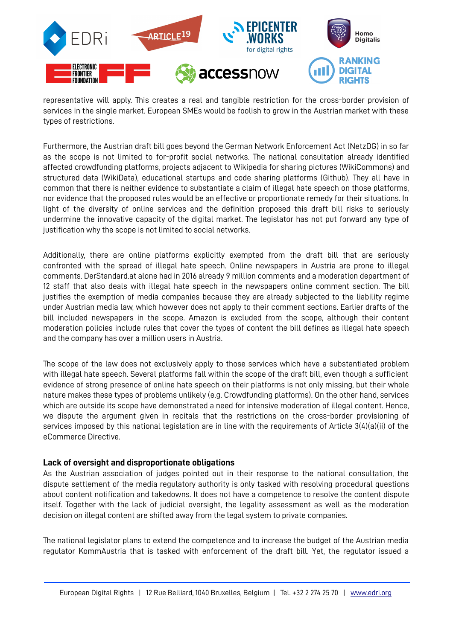

representative will apply. This creates a real and tangible restriction for the cross-border provision of services in the single market. European SMEs would be foolish to grow in the Austrian market with these types of restrictions.

Furthermore, the Austrian draft bill goes beyond the German Network Enforcement Act (NetzDG) in so far as the scope is not limited to for-profit social networks. The national consultation already identified affected crowdfunding platforms, projects adjacent to Wikipedia for sharing pictures (WikiCommons) and structured data (WikiData), educational startups and code sharing platforms (Github). They all have in common that there is neither evidence to substantiate a claim of illegal hate speech on those platforms, nor evidence that the proposed rules would be an effective or proportionate remedy for their situations. In light of the diversity of online services and the definition proposed this draft bill risks to seriously undermine the innovative capacity of the digital market. The legislator has not put forward any type of justification why the scope is not limited to social networks.

Additionally, there are online platforms explicitly exempted from the draft bill that are seriously confronted with the spread of illegal hate speech. Online newspapers in Austria are prone to illegal comments. DerStandard.at alone had in 2016 already 9 million comments and a moderation department of 12 staff that also deals with illegal hate speech in the newspapers online comment section. The bill justifies the exemption of media companies because they are already subjected to the liability regime under Austrian media law, which however does not apply to their comment sections. Earlier drafts of the bill included newspapers in the scope. Amazon is excluded from the scope, although their content moderation policies include rules that cover the types of content the bill defines as illegal hate speech and the company has over a million users in Austria.

The scope of the law does not exclusively apply to those services which have a substantiated problem with illegal hate speech. Several platforms fall within the scope of the draft bill, even though a sufficient evidence of strong presence of online hate speech on their platforms is not only missing, but their whole nature makes these types of problems unlikely (e.g. Crowdfunding platforms). On the other hand, services which are outside its scope have demonstrated a need for intensive moderation of illegal content. Hence, we dispute the argument given in recitals that the restrictions on the cross-border provisioning of services imposed by this national legislation are in line with the requirements of Article 3(4)(a)(ii) of the eCommerce Directive.

#### **Lack of oversight and disproportionate obligations**

As the Austrian association of judges pointed out in their response to the national consultation, the dispute settlement of the media regulatory authority is only tasked with resolving procedural questions about content notification and takedowns. It does not have a competence to resolve the content dispute itself. Together with the lack of judicial oversight, the legality assessment as well as the moderation decision on illegal content are shifted away from the legal system to private companies.

The national legislator plans to extend the competence and to increase the budget of the Austrian media regulator KommAustria that is tasked with enforcement of the draft bill. Yet, the regulator issued a